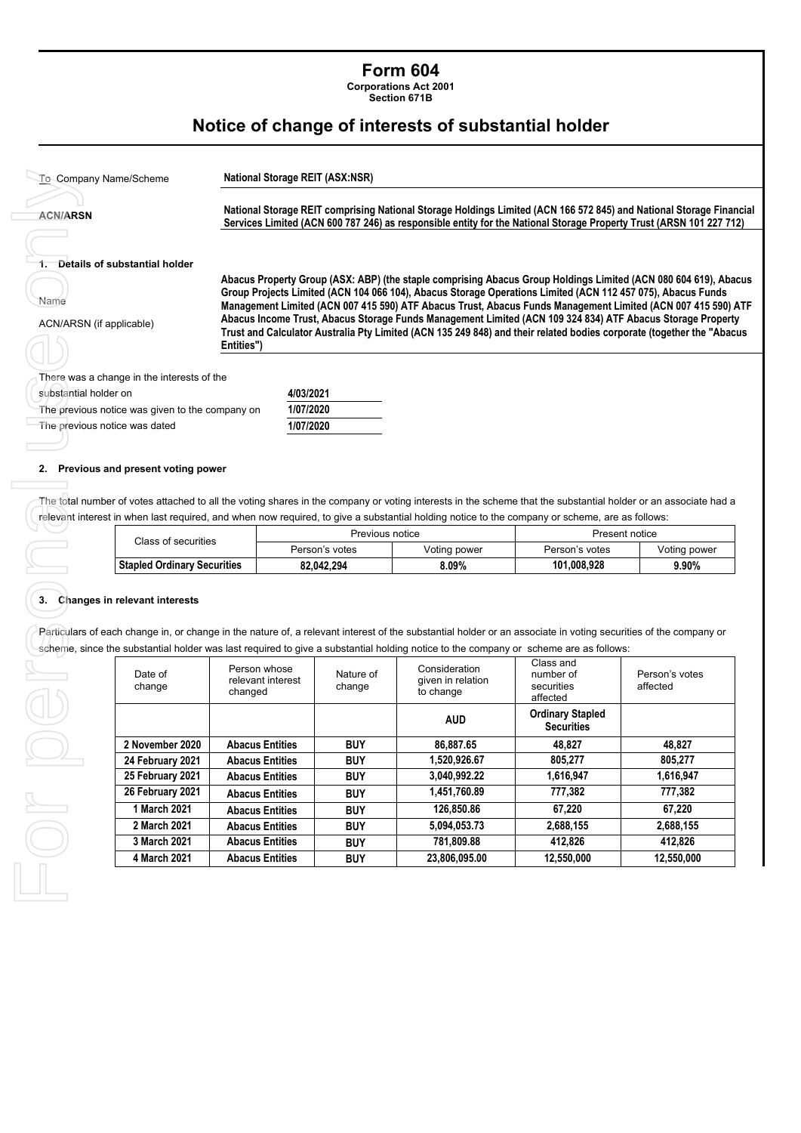## **Form 604**

**Corporations Act 2001** 

**Section 671B** 

## **Notice of change of interests of substantial holder**

| <b>ACN/ARSN</b>                  |                                                                                                                                                                                                                                                                                                                                             |                                                                                                                                                                                                                                     | National Storage REIT comprising National Storage Holdings Limited (ACN 166 572 845) and National Storage Financial<br>Services Limited (ACN 600 787 246) as responsible entity for the National Storage Property Trust (ARSN 101 227 712)                                                                                                     |                     |                                                                                                                                                |                                              |                            |  |
|----------------------------------|---------------------------------------------------------------------------------------------------------------------------------------------------------------------------------------------------------------------------------------------------------------------------------------------------------------------------------------------|-------------------------------------------------------------------------------------------------------------------------------------------------------------------------------------------------------------------------------------|------------------------------------------------------------------------------------------------------------------------------------------------------------------------------------------------------------------------------------------------------------------------------------------------------------------------------------------------|---------------------|------------------------------------------------------------------------------------------------------------------------------------------------|----------------------------------------------|----------------------------|--|
|                                  |                                                                                                                                                                                                                                                                                                                                             |                                                                                                                                                                                                                                     |                                                                                                                                                                                                                                                                                                                                                |                     |                                                                                                                                                |                                              |                            |  |
|                                  | Details of substantial holder                                                                                                                                                                                                                                                                                                               |                                                                                                                                                                                                                                     |                                                                                                                                                                                                                                                                                                                                                |                     |                                                                                                                                                |                                              |                            |  |
| Name<br>ACN/ARSN (if applicable) |                                                                                                                                                                                                                                                                                                                                             |                                                                                                                                                                                                                                     | Abacus Property Group (ASX: ABP) (the staple comprising Abacus Group Holdings Limited (ACN 080 604 619), Abacus<br>Group Projects Limited (ACN 104 066 104), Abacus Storage Operations Limited (ACN 112 457 075), Abacus Funds<br>Management Limited (ACN 007 415 590) ATF Abacus Trust, Abacus Funds Management Limited (ACN 007 415 590) ATF |                     |                                                                                                                                                |                                              |                            |  |
|                                  |                                                                                                                                                                                                                                                                                                                                             | Abacus Income Trust, Abacus Storage Funds Management Limited (ACN 109 324 834) ATF Abacus Storage Property<br>Trust and Calculator Australia Pty Limited (ACN 135 249 848) and their related bodies corporate (together the "Abacus |                                                                                                                                                                                                                                                                                                                                                |                     |                                                                                                                                                |                                              |                            |  |
|                                  |                                                                                                                                                                                                                                                                                                                                             | Entities")                                                                                                                                                                                                                          |                                                                                                                                                                                                                                                                                                                                                |                     |                                                                                                                                                |                                              |                            |  |
|                                  | There was a change in the interests of the                                                                                                                                                                                                                                                                                                  |                                                                                                                                                                                                                                     |                                                                                                                                                                                                                                                                                                                                                |                     |                                                                                                                                                |                                              |                            |  |
| substantial holder on            |                                                                                                                                                                                                                                                                                                                                             |                                                                                                                                                                                                                                     | 4/03/2021                                                                                                                                                                                                                                                                                                                                      |                     |                                                                                                                                                |                                              |                            |  |
|                                  | The previous notice was given to the company on                                                                                                                                                                                                                                                                                             |                                                                                                                                                                                                                                     | 1/07/2020                                                                                                                                                                                                                                                                                                                                      |                     |                                                                                                                                                |                                              |                            |  |
|                                  | The previous notice was dated                                                                                                                                                                                                                                                                                                               |                                                                                                                                                                                                                                     | 1/07/2020                                                                                                                                                                                                                                                                                                                                      |                     |                                                                                                                                                |                                              |                            |  |
|                                  |                                                                                                                                                                                                                                                                                                                                             |                                                                                                                                                                                                                                     |                                                                                                                                                                                                                                                                                                                                                |                     |                                                                                                                                                |                                              |                            |  |
|                                  |                                                                                                                                                                                                                                                                                                                                             |                                                                                                                                                                                                                                     |                                                                                                                                                                                                                                                                                                                                                |                     |                                                                                                                                                |                                              |                            |  |
|                                  | 2. Previous and present voting power                                                                                                                                                                                                                                                                                                        |                                                                                                                                                                                                                                     |                                                                                                                                                                                                                                                                                                                                                |                     |                                                                                                                                                |                                              |                            |  |
|                                  |                                                                                                                                                                                                                                                                                                                                             |                                                                                                                                                                                                                                     |                                                                                                                                                                                                                                                                                                                                                |                     |                                                                                                                                                |                                              |                            |  |
|                                  |                                                                                                                                                                                                                                                                                                                                             |                                                                                                                                                                                                                                     |                                                                                                                                                                                                                                                                                                                                                | Previous notice     | relevant interest in when last required, and when now required, to give a substantial holding notice to the company or scheme, are as follows: |                                              | Present notice             |  |
|                                  | Class of securities                                                                                                                                                                                                                                                                                                                         |                                                                                                                                                                                                                                     |                                                                                                                                                                                                                                                                                                                                                | Person's votes      | Voting power                                                                                                                                   | Person's votes                               | Voting power               |  |
|                                  | <b>Stapled Ordinary Securities</b>                                                                                                                                                                                                                                                                                                          |                                                                                                                                                                                                                                     |                                                                                                                                                                                                                                                                                                                                                | 82,042,294          | 8.09%                                                                                                                                          | 101,008,928                                  | 9.90%                      |  |
|                                  | 3. Changes in relevant interests<br>Particulars of each change in, or change in the nature of, a relevant interest of the substantial holder or an associate in voting securities of the company or<br>scheme, since the substantial holder was last required to give a substantial holding notice to the company or scheme are as follows: | Person whose                                                                                                                                                                                                                        |                                                                                                                                                                                                                                                                                                                                                |                     | Consideration                                                                                                                                  | Class and                                    |                            |  |
|                                  | Date of<br>change                                                                                                                                                                                                                                                                                                                           | changed                                                                                                                                                                                                                             | relevant interest                                                                                                                                                                                                                                                                                                                              | Nature of<br>change | given in relation<br>to change                                                                                                                 | number of<br>securities<br>affected          | Person's votes<br>affected |  |
|                                  |                                                                                                                                                                                                                                                                                                                                             |                                                                                                                                                                                                                                     |                                                                                                                                                                                                                                                                                                                                                |                     | <b>AUD</b>                                                                                                                                     | <b>Ordinary Stapled</b><br><b>Securities</b> |                            |  |
|                                  | 2 November 2020                                                                                                                                                                                                                                                                                                                             | <b>Abacus Entities</b>                                                                                                                                                                                                              |                                                                                                                                                                                                                                                                                                                                                | <b>BUY</b>          | 86,887.65                                                                                                                                      | 48,827                                       | 48,827                     |  |
|                                  | 24 February 2021                                                                                                                                                                                                                                                                                                                            | <b>Abacus Entities</b>                                                                                                                                                                                                              |                                                                                                                                                                                                                                                                                                                                                | <b>BUY</b>          | 1,520,926.67                                                                                                                                   | 805,277                                      | 805,277                    |  |
|                                  | 25 February 2021                                                                                                                                                                                                                                                                                                                            | <b>Abacus Entities</b>                                                                                                                                                                                                              |                                                                                                                                                                                                                                                                                                                                                | <b>BUY</b>          | 3,040,992.22                                                                                                                                   | 1,616,947                                    | 1,616,947                  |  |
|                                  | 26 February 2021                                                                                                                                                                                                                                                                                                                            | <b>Abacus Entities</b>                                                                                                                                                                                                              |                                                                                                                                                                                                                                                                                                                                                | <b>BUY</b>          | 1,451,760.89                                                                                                                                   | 777,382                                      | 777,382                    |  |
|                                  | 1 March 2021                                                                                                                                                                                                                                                                                                                                | <b>Abacus Entities</b>                                                                                                                                                                                                              |                                                                                                                                                                                                                                                                                                                                                | <b>BUY</b>          | 126,850.86                                                                                                                                     | 67,220                                       | 67,220                     |  |
|                                  | 2 March 2021                                                                                                                                                                                                                                                                                                                                | <b>Abacus Entities</b>                                                                                                                                                                                                              |                                                                                                                                                                                                                                                                                                                                                | <b>BUY</b>          | 5,094,053.73                                                                                                                                   | 2,688,155                                    | 2,688,155                  |  |
|                                  | 3 March 2021                                                                                                                                                                                                                                                                                                                                | <b>Abacus Entities</b>                                                                                                                                                                                                              |                                                                                                                                                                                                                                                                                                                                                | <b>BUY</b>          | 781,809.88                                                                                                                                     | 412,826                                      | 412,826                    |  |

#### **2. Previous and present voting power**

| Class of securities                | Previous notice |              | Present notice |              |
|------------------------------------|-----------------|--------------|----------------|--------------|
|                                    | Person's votes  | Voting power | Person's votes | Voting power |
| <b>Stapled Ordinary Securities</b> | 82.042.294      | 8.09%        | 101.008.928    | 9.90%        |

#### **3. Changes in relevant interests**

Forper

| Date of<br>change | Person whose<br>relevant interest<br>changed | Nature of<br>change | Consideration<br>given in relation<br>to change | Class and<br>number of<br>securities<br>affected | Person's votes<br>affected |
|-------------------|----------------------------------------------|---------------------|-------------------------------------------------|--------------------------------------------------|----------------------------|
|                   |                                              |                     | <b>AUD</b>                                      | <b>Ordinary Stapled</b><br><b>Securities</b>     |                            |
| 2 November 2020   | <b>Abacus Entities</b>                       | <b>BUY</b>          | 86,887.65                                       | 48.827                                           | 48,827                     |
| 24 February 2021  | <b>Abacus Entities</b>                       | <b>BUY</b>          | 1,520,926.67                                    | 805.277                                          | 805,277                    |
| 25 February 2021  | <b>Abacus Entities</b>                       | <b>BUY</b>          | 3.040.992.22                                    | 1,616,947                                        | 1,616,947                  |
| 26 February 2021  | <b>Abacus Entities</b>                       | <b>BUY</b>          | 1,451,760.89                                    | 777,382                                          | 777,382                    |
| 1 March 2021      | <b>Abacus Entities</b>                       | <b>BUY</b>          | 126,850,86                                      | 67.220                                           | 67.220                     |
| 2 March 2021      | <b>Abacus Entities</b>                       | <b>BUY</b>          | 5,094,053.73                                    | 2,688,155                                        | 2,688,155                  |
| 3 March 2021      | <b>Abacus Entities</b>                       | <b>BUY</b>          | 781.809.88                                      | 412.826                                          | 412.826                    |
| 4 March 2021      | <b>Abacus Entities</b>                       | <b>BUY</b>          | 23,806,095.00                                   | 12,550,000                                       | 12,550,000                 |